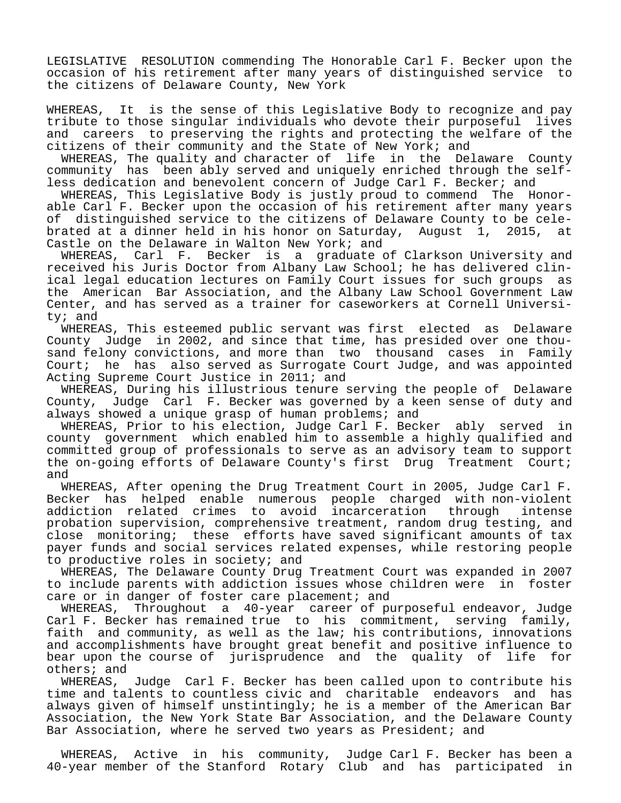LEGISLATIVE RESOLUTION commending The Honorable Carl F. Becker upon the occasion of his retirement after many years of distinguished service to the citizens of Delaware County, New York

WHEREAS, It is the sense of this Legislative Body to recognize and pay tribute to those singular individuals who devote their purposeful lives and careers to preserving the rights and protecting the welfare of the citizens of their community and the State of New York; and

 WHEREAS, The quality and character of life in the Delaware County community has been ably served and uniquely enriched through the selfless dedication and benevolent concern of Judge Carl F. Becker; and

 WHEREAS, This Legislative Body is justly proud to commend The Honorable Carl F. Becker upon the occasion of his retirement after many years of distinguished service to the citizens of Delaware County to be celebrated at a dinner held in his honor on Saturday, August 1, 2015, at Castle on the Delaware in Walton New York; and

 WHEREAS, Carl F. Becker is a graduate of Clarkson University and received his Juris Doctor from Albany Law School; he has delivered clinical legal education lectures on Family Court issues for such groups as the American Bar Association, and the Albany Law School Government Law Center, and has served as a trainer for caseworkers at Cornell University; and

 WHEREAS, This esteemed public servant was first elected as Delaware County Judge in 2002, and since that time, has presided over one thousand felony convictions, and more than two thousand cases in Family Court; he has also served as Surrogate Court Judge, and was appointed Acting Supreme Court Justice in 2011; and

 WHEREAS, During his illustrious tenure serving the people of Delaware County, Judge Carl F. Becker was governed by a keen sense of duty and always showed a unique grasp of human problems; and

 WHEREAS, Prior to his election, Judge Carl F. Becker ably served in county government which enabled him to assemble a highly qualified and committed group of professionals to serve as an advisory team to support the on-going efforts of Delaware County's first Drug Treatment Court; and

 WHEREAS, After opening the Drug Treatment Court in 2005, Judge Carl F. Becker has helped enable numerous people charged with non-violent addiction related crimes to avoid incarceration through intense probation supervision, comprehensive treatment, random drug testing, and close monitoring; these efforts have saved significant amounts of tax payer funds and social services related expenses, while restoring people to productive roles in society; and

 WHEREAS, The Delaware County Drug Treatment Court was expanded in 2007 to include parents with addiction issues whose children were in foster care or in danger of foster care placement; and

 WHEREAS, Throughout a 40-year career of purposeful endeavor, Judge Carl F. Becker has remained true to his commitment, serving family, faith and community, as well as the law; his contributions, innovations and accomplishments have brought great benefit and positive influence to bear upon the course of jurisprudence and the quality of life for others; and

 WHEREAS, Judge Carl F. Becker has been called upon to contribute his time and talents to countless civic and charitable endeavors and has always given of himself unstintingly; he is a member of the American Bar Association, the New York State Bar Association, and the Delaware County Bar Association, where he served two years as President; and

 WHEREAS, Active in his community, Judge Carl F. Becker has been a 40-year member of the Stanford Rotary Club and has participated in